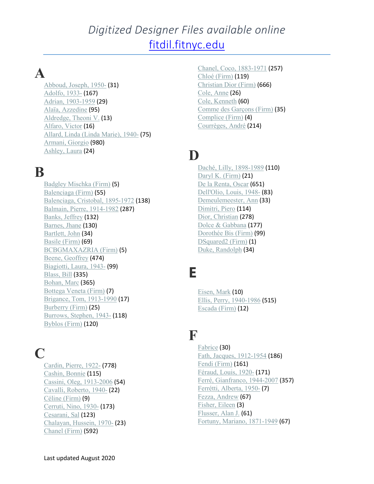### *Digitized Designer Files available online* [fitdil.fitnyc.edu](https://fitdil.fitnyc.edu/)

# **A**

[Abboud,](https://fitdil.fitnyc.edu/explore/explore/?c=allcollections:26&c=lb.designer_s:Abboud%2C%20Joseph%2C%201950-) Joseph, 1950- (31) [Adolfo,](https://fitdil.fitnyc.edu/explore/explore/?c=allcollections:26&c=lb.designer_s:Adolfo%2C%201933-) 1933- (167) Adrian, [1903-1959](https://fitdil.fitnyc.edu/explore/explore/?c=allcollections:26&c=lb.designer_s:Adrian%2C%201903-1959) (29) Alaïa, [Azzedine](https://fitdil.fitnyc.edu/explore/explore/?c=allcollections:26&c=lb.designer_s:Ala%C3%AFa%2C%20Azzedine) (95) [Aldredge,](https://fitdil.fitnyc.edu/explore/explore/?c=allcollections:26&c=lb.designer_s:Aldredge%2C%20Theoni%20V.) Theoni V. (13) [Alfaro,](https://fitdil.fitnyc.edu/explore/explore/?c=allcollections:26&c=lb.designer_s:Alfaro%2C%20Victor) Victor (16) Allard, Linda (Linda [Marie\),](https://fitdil.fitnyc.edu/explore/explore/?c=allcollections:26&c=lb.designer_s:Allard%2C%20Linda%20%28Linda%20Marie%29%2C%201940-) 1940- (75) [Armani,](https://fitdil.fitnyc.edu/explore/explore/?c=allcollections:26&c=lb.designer_s:Armani%2C%20Giorgio) Giorgio (980) [Ashley,](https://fitdil.fitnyc.edu/explore/explore/?c=allcollections:26&c=lb.designer_s:Ashley%2C%20Laura) Laura (24)

### **B**

Badgley [Mischka](https://fitdil.fitnyc.edu/explore/explore/?c=allcollections:26&c=lb.designer_s:Badgley%20Mischka%20%28Firm%29) (Firm) (5) [Balenciaga](https://fitdil.fitnyc.edu/explore/explore/?c=allcollections:26&c=lb.designer_s:Balenciaga%20%28Firm%29) (Firm) (55) [Balenciaga,](https://fitdil.fitnyc.edu/explore/explore/?c=allcollections:26&c=lb.designer_s:Balenciaga%2C%20Cristobal%2C%201895-1972) Cristobal, 1895-1972 (138) Balmain, Pierre, [1914-1982](https://fitdil.fitnyc.edu/explore/explore/?c=allcollections:26&c=lb.designer_s:Balmain%2C%20Pierre%2C%201914-1982) (287) Banks, [Jeffrey](https://fitdil.fitnyc.edu/explore/explore/?c=allcollections:26&c=lb.designer_s:Banks%2C%20Jeffrey) (132) [Barnes,](https://fitdil.fitnyc.edu/explore/explore/?c=allcollections:26&c=lb.designer_s:Barnes%2C%20Jhane) Jhane (130) [Bartlett,](https://fitdil.fitnyc.edu/explore/explore/?c=allcollections:26&c=lb.designer_s:Bartlett%2C%20John) John (34) Basile [\(Firm\)](https://fitdil.fitnyc.edu/explore/explore/?c=allcollections:26&c=lb.designer_s:Basile%20%28Firm%29) (69) [BCBGMAXAZRIA](https://fitdil.fitnyc.edu/explore/explore/?c=allcollections:26&c=lb.designer_s:BCBGMAXAZRIA%20%28Firm%29) (Firm) (5) Beene, [Geoffrey](https://fitdil.fitnyc.edu/explore/explore/?c=allcollections:26&c=lb.designer_s:Beene%2C%20Geoffrey) (474) [Biagiotti,](https://fitdil.fitnyc.edu/explore/explore/?c=allcollections:26&c=lb.designer_s:Biagiotti%2C%20Laura%2C%201943-) Laura, 1943- (99) [Blass,](https://fitdil.fitnyc.edu/explore/explore/?c=allcollections:26&c=lb.designer_s:Blass%2C%20Bill) Bill (335) [Bohan,](https://fitdil.fitnyc.edu/explore/explore/?c=allcollections:26&c=lb.designer_s:Bohan%2C%20Marc) Marc (365) [Bottega](https://fitdil.fitnyc.edu/explore/explore/?c=allcollections:26&c=lb.designer_s:Bottega%20Veneta%20%28Firm%29) Veneta (Firm) (7) Brigance, Tom, [1913-1990](https://fitdil.fitnyc.edu/explore/explore/?c=allcollections:26&c=lb.designer_s:Brigance%2C%20Tom%2C%201913-1990) (17) [Burberry](https://fitdil.fitnyc.edu/explore/explore/?c=allcollections:26&c=lb.designer_s:Burberry%20%28Firm%29) (Firm) (25) [Burrows,](https://fitdil.fitnyc.edu/explore/explore/?c=allcollections:26&c=lb.designer_s:Burrows%2C%20Stephen%2C%201943-) Stephen, 1943- (118) [Byblos](https://fitdil.fitnyc.edu/explore/explore/?c=allcollections:26&c=lb.designer_s:Byblos%20%28Firm%29) (Firm) (120)

### **C**

[Cardin,](https://fitdil.fitnyc.edu/explore/explore/?c=allcollections:26&c=lb.designer_s:Cardin%2C%20Pierre%2C%201922-) Pierre, 1922- (778) [Cashin,](https://fitdil.fitnyc.edu/explore/explore/?c=allcollections:26&c=lb.designer_s:Cashin%2C%20Bonnie) Bonnie (115) Cassini, Oleg, [1913-2006](https://fitdil.fitnyc.edu/explore/explore/?c=allcollections:26&c=lb.designer_s:Cassini%2C%20Oleg%2C%201913-2006) (54) Cavalli, [Roberto,](https://fitdil.fitnyc.edu/explore/explore/?c=allcollections:26&c=lb.designer_s:Cavalli%2C%20Roberto%2C%201940-) 1940- (22) [Céline](https://fitdil.fitnyc.edu/explore/explore/?c=allcollections:26&c=lb.designer_s:C%C3%A9line%20%28Firm%29) (Firm) (9) [Cerruti,](https://fitdil.fitnyc.edu/explore/explore/?c=allcollections:26&c=lb.designer_s:Cerruti%2C%20Nino%2C%201930-) Nino, 1930- (173) [Cesarani,](https://fitdil.fitnyc.edu/explore/explore/?c=allcollections:26&c=lb.designer_s:Cesarani%2C%20Sal) Sal (123) [Chalayan,](https://fitdil.fitnyc.edu/explore/explore/?c=allcollections:26&c=lb.designer_s:Chalayan%2C%20Hussein%2C%201970-) Hussein, 1970- (23) [Chanel](https://fitdil.fitnyc.edu/explore/explore/?c=allcollections:26&c=lb.designer_s:Chanel%20%28Firm%29) (Firm) (592)

Chanel, Coco, [1883-1971](https://fitdil.fitnyc.edu/explore/explore/?c=allcollections:26&c=lb.designer_s:Chanel%2C%20Coco%2C%201883-1971) (257) Chloé [\(Firm\)](https://fitdil.fitnyc.edu/explore/explore/?c=allcollections:26&c=lb.designer_s:Chlo%C3%A9%20%28Firm%29) (119) [Christian](https://fitdil.fitnyc.edu/explore/explore/?c=allcollections:26&c=lb.designer_s:Christian%20Dior%20%28Firm%29) Dior (Firm) (666) Cole, [Anne](https://fitdil.fitnyc.edu/explore/explore/?c=allcollections:26&c=lb.designer_s:Cole%2C%20Anne) (26) Cole, [Kenneth](https://fitdil.fitnyc.edu/explore/explore/?c=allcollections:26&c=lb.designer_s:Cole%2C%20Kenneth) (60) Comme des [Garçons](https://fitdil.fitnyc.edu/explore/explore/?c=allcollections:26&c=lb.designer_s:Comme%20des%20Garc%CC%A7ons%20%28Firm%29) (Firm) (35) [Complice](https://fitdil.fitnyc.edu/explore/explore/?c=allcollections:26&c=lb.designer_s:Complice%20%28Firm%29) (Firm) (4) [Courrèges,](https://fitdil.fitnyc.edu/explore/explore/?c=allcollections:26&c=lb.designer_s:Courr%C3%A8ges%2C%20Andr%C3%A9) André (214)

# **D**

Daché, Lilly, [1898-1989](https://fitdil.fitnyc.edu/explore/explore/?c=allcollections:26&c=lb.designer_s:Dach%C3%A9%2C%20Lilly%2C%201898-1989) (110) Daryl K. [\(Firm\)](https://fitdil.fitnyc.edu/explore/explore/?c=allcollections:26&c=lb.designer_s:Daryl%20K.%20%28Firm%29) (21) De la [Renta,](https://fitdil.fitnyc.edu/explore/explore/?c=allcollections:26&c=lb.designer_s:De%20la%20Renta%2C%20Oscar) Oscar (651) [Dell'Olio,](https://fitdil.fitnyc.edu/explore/explore/?c=allcollections:26&c=lb.designer_s:Dell%27Olio%2C%20Louis%2C%201948-) Louis, 1948- (83) [Demeulemeester,](https://fitdil.fitnyc.edu/explore/explore/?c=allcollections:26&c=lb.designer_s:Demeulemeester%2C%20Ann) Ann (33) [Dimitri,](https://fitdil.fitnyc.edu/explore/explore/?c=allcollections:26&c=lb.designer_s:Dimitri%2C%20Piero) Piero (114) Dior, [Christian](https://fitdil.fitnyc.edu/explore/explore/?c=allcollections:26&c=lb.designer_s:Dior%2C%20Christian) (278) Dolce & [Gabbana](https://fitdil.fitnyc.edu/explore/explore/?c=allcollections:26&c=lb.designer_s:Dolce%20%26%20Gabbana) (177) [Dorothée](https://fitdil.fitnyc.edu/explore/explore/?c=allcollections:26&c=lb.designer_s:Doroth%C3%A9e%20Bis%20%28Firm%29) Bis (Firm) (99) [DSquared2](https://fitdil.fitnyc.edu/explore/explore/?c=allcollections:26&c=lb.designer_s:DSquared2%20%28Firm%29) (Firm) (1) Duke, [Randolph](https://fitdil.fitnyc.edu/explore/explore/?c=allcollections:26&c=lb.designer_s:Duke%2C%20Randolph) (34)

# **E**

[Eisen,](https://fitdil.fitnyc.edu/explore/explore/?c=allcollections:26&c=lb.designer_s:Eisen%2C%20Mark) Mark (10) Ellis, Perry, [1940-1986](https://fitdil.fitnyc.edu/explore/explore/?c=allcollections:26&c=lb.designer_s:Ellis%2C%20Perry%2C%201940-1986) (515) [Escada](https://fitdil.fitnyc.edu/explore/explore/?c=allcollections:26&c=lb.designer_s:Escada%20%28Firm%29) (Firm) (12)

### **F**

[Fabrice](https://fitdil.fitnyc.edu/explore/explore/?c=allcollections:26&c=lb.designer_s:Fabrice) (30) Fath, Jacques, [1912-1954](https://fitdil.fitnyc.edu/explore/explore/?c=allcollections:26&c=lb.designer_s:Fath%2C%20Jacques%2C%201912-1954) (186) Fendi [\(Firm\)](https://fitdil.fitnyc.edu/explore/explore/?c=allcollections:26&c=lb.designer_s:Fendi%20%28Firm%29) (161) [Féraud,](https://fitdil.fitnyc.edu/explore/explore/?c=allcollections:26&c=lb.designer_s:F%C3%A9raud%2C%20Louis%2C%201920-) Louis, 1920- (171) Ferré, [Gianfranco,](https://fitdil.fitnyc.edu/explore/explore/?c=allcollections:26&c=lb.designer_s:Ferr%C3%A9%2C%20Gianfranco%2C%201944-2007) 1944-2007 (357) Ferrétti, [Alberta,](https://fitdil.fitnyc.edu/explore/explore/?c=allcollections:26&c=lb.designer_s:Ferr%C3%A9tti%2C%20Alberta%2C%201950-) 1950- (7) Fezza, [Andrew](https://fitdil.fitnyc.edu/explore/explore/?c=allcollections:26&c=lb.designer_s:Fezza%2C%20Andrew) (67) [Fisher,](https://fitdil.fitnyc.edu/explore/explore/?c=allcollections:26&c=lb.designer_s:Fisher%2C%20Eileen) Eileen (3) [Flusser,](https://fitdil.fitnyc.edu/explore/explore/?c=allcollections:26&c=lb.designer_s:Flusser%2C%20Alan%20J.) Alan J. (61) Fortuny, Mariano, [1871-1949](https://fitdil.fitnyc.edu/explore/explore/?c=allcollections:26&c=lb.designer_s:Fortuny%2C%20Mariano%2C%201871-1949) (67)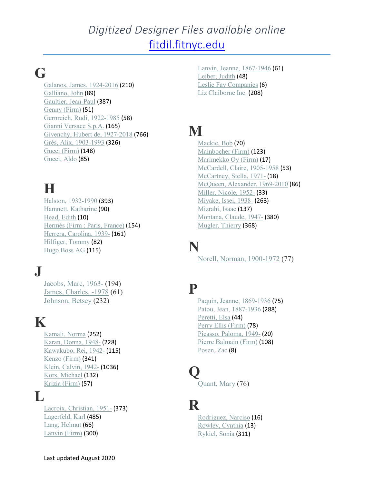## *Digitized Designer Files available online* [fitdil.fitnyc.edu](https://fitdil.fitnyc.edu/)

# **G**

Galanos, James, [1924-2016](https://fitdil.fitnyc.edu/explore/explore/?c=allcollections:26&c=lb.designer_s:Galanos%2C%20James%2C%201924-2016) (210) [Galliano,](https://fitdil.fitnyc.edu/explore/explore/?c=allcollections:26&c=lb.designer_s:Galliano%2C%20John) John (89) Gaultier, [Jean-Paul](https://fitdil.fitnyc.edu/explore/explore/?c=allcollections:26&c=lb.designer_s:Gaultier%2C%20Jean-Paul) (387) [Genny](https://fitdil.fitnyc.edu/explore/explore/?c=allcollections:26&c=lb.designer_s:Genny%20%28Firm%29) (Firm) (51) Gernreich, Rudi, [1922-1985](https://fitdil.fitnyc.edu/explore/explore/?c=allcollections:26&c=lb.designer_s:Gernreich%2C%20Rudi%2C%201922-1985) (58) Gianni [Versace](https://fitdil.fitnyc.edu/explore/explore/?c=allcollections:26&c=lb.designer_s:Gianni%20Versace%20S.p.A.) S.p.A. (165) Givenchy, Hubert de, [1927-2018](https://fitdil.fitnyc.edu/explore/explore/?c=allcollections:26&c=lb.designer_s:Givenchy%2C%20Hubert%20de%2C%201927-2018) (766) Grès, Alix, [1903-1993](https://fitdil.fitnyc.edu/explore/explore/?c=allcollections:26&c=lb.designer_s:Gr%C3%A8s%2C%20Alix%2C%201903-1993) (326) Gucci [\(Firm\)](https://fitdil.fitnyc.edu/explore/explore/?c=allcollections:26&c=lb.designer_s:Gucci%20%28Firm%29) (148) [Gucci,](https://fitdil.fitnyc.edu/explore/explore/?c=allcollections:26&c=lb.designer_s:Gucci%2C%20Aldo) Aldo (85)

# **H**

Halston, [1932-1990](https://fitdil.fitnyc.edu/explore/explore/?c=allcollections:26&c=lb.designer_s:Halston%2C%201932-1990) (393) Hamnett, [Katharine](https://fitdil.fitnyc.edu/explore/explore/?c=allcollections:26&c=lb.designer_s:Hamnett%2C%20Katharine) (90) [Head,](https://fitdil.fitnyc.edu/explore/explore/?c=allcollections:26&c=lb.designer_s:Head%2C%20Edith) Edith (10) [Hermès](https://fitdil.fitnyc.edu/explore/explore/?c=allcollections:26&c=lb.designer_s:Herme%CC%80s%20%28Firm%20%3A%20Paris%2C%20France%29) (Firm : Paris, France) (154) Herrera, [Carolina,](https://fitdil.fitnyc.edu/explore/explore/?c=allcollections:26&c=lb.designer_s:Herrera%2C%20Carolina%2C%201939-) 1939- (161) [Hilfiger,](https://fitdil.fitnyc.edu/explore/explore/?c=allcollections:26&c=lb.designer_s:Hilfiger%2C%20Tommy) Tommy (82) [Hugo](https://fitdil.fitnyc.edu/explore/explore/?c=allcollections:26&c=lb.designer_s:Hugo%20Boss%20AG) Boss AG (115)

#### **J**

[Jacobs,](https://fitdil.fitnyc.edu/explore/explore/?c=allcollections:26&c=lb.designer_s:Jacobs%2C%20Marc%2C%201963-) Marc, 1963- (194) James, [Charles,](https://fitdil.fitnyc.edu/explore/explore/?c=allcollections:26&c=lb.designer_s:James%2C%20Charles%2C%20-1978) -1978 (61) [Johnson,](https://fitdil.fitnyc.edu/explore/explore/?c=allcollections:26&c=lb.designer_s:Johnson%2C%20Betsey) Betsey (232)

## **K**

[Kamali,](https://fitdil.fitnyc.edu/explore/explore/?c=allcollections:26&c=lb.designer_s:Kamali%2C%20Norma) Norma (252) Karan, [Donna,](https://fitdil.fitnyc.edu/explore/explore/?c=allcollections:26&c=lb.designer_s:Karan%2C%20Donna%2C%201948-) 1948- (228) [Kawakubo,](https://fitdil.fitnyc.edu/explore/explore/?c=allcollections:26&c=lb.designer_s:Kawakubo%2C%20Rei%2C%201942-) Rei, 1942- (115) [Kenzo](https://fitdil.fitnyc.edu/explore/explore/?c=allcollections:26&c=lb.designer_s:Kenzo%20%28Firm%29) (Firm) (341) Klein, [Calvin,](https://fitdil.fitnyc.edu/explore/explore/?c=allcollections:26&c=lb.designer_s:Klein%2C%20Calvin%2C%201942-) 1942- (1036) Kors, [Michael](https://fitdil.fitnyc.edu/explore/explore/?c=allcollections:26&c=lb.designer_s:Kors%2C%20Michael) (132) Krizia [\(Firm\)](https://fitdil.fitnyc.edu/explore/explore/?c=allcollections:26&c=lb.designer_s:Krizia%20%28Firm%29) (57)

### **L**

Lacroix, [Christian,](https://fitdil.fitnyc.edu/explore/explore/?c=allcollections:26&c=lb.designer_s:Lacroix%2C%20Christian%2C%201951-) 1951- (373) [Lagerfeld,](https://fitdil.fitnyc.edu/explore/explore/?c=allcollections:26&c=lb.designer_s:Lagerfeld%2C%20Karl) Karl (485) Lang, [Helmut](https://fitdil.fitnyc.edu/explore/explore/?c=allcollections:26&c=lb.designer_s:Lang%2C%20Helmut) (66) [Lanvin](https://fitdil.fitnyc.edu/explore/explore/?c=allcollections:26&c=lb.designer_s:Lanvin%20%28Firm%29) (Firm) (300)

Lanvin, Jeanne, [1867-1946](https://fitdil.fitnyc.edu/explore/explore/?c=allcollections:26&c=lb.designer_s:Lanvin%2C%20Jeanne%2C%201867-1946) (61) [Leiber,](https://fitdil.fitnyc.edu/explore/explore/?c=allcollections:26&c=lb.designer_s:Leiber%2C%20Judith) Judith (48) Leslie Fay [Companies](https://fitdil.fitnyc.edu/explore/explore/?c=allcollections:26&c=lb.designer_s:Leslie%20Fay%20Companies) (6) Liz [Claiborne](https://fitdil.fitnyc.edu/explore/explore/?c=allcollections:26&c=lb.designer_s:Liz%20Claiborne%20Inc.) Inc. (208)

# **M**

[Mackie,](https://fitdil.fitnyc.edu/explore/explore/?c=allcollections:26&c=lb.designer_s:Mackie%2C%20Bob) Bob (70) [Mainbocher](https://fitdil.fitnyc.edu/explore/explore/?c=allcollections:26&c=lb.designer_s:Mainbocher%20%28Firm%29) (Firm) (123) [Marimekko](https://fitdil.fitnyc.edu/explore/explore/?c=allcollections:26&c=lb.designer_s:Marimekko%20Oy%20%28Firm%29) Oy (Firm) (17) [McCardell,](https://fitdil.fitnyc.edu/explore/explore/?c=allcollections:26&c=lb.designer_s:McCardell%2C%20Claire%2C%201905-1958) Claire, 1905-1958 (53) [McCartney,](https://fitdil.fitnyc.edu/explore/explore/?c=allcollections:26&c=lb.designer_s:McCartney%2C%20Stella%2C%201971-) Stella, 1971- (18) McQueen, [Alexander,](https://fitdil.fitnyc.edu/explore/explore/?c=allcollections:26&c=lb.designer_s:McQueen%2C%20Alexander%2C%201969-2010) 1969-2010 (86) Miller, [Nicole,](https://fitdil.fitnyc.edu/explore/explore/?c=allcollections:26&c=lb.designer_s:Miller%2C%20Nicole%2C%201952-) 1952- (33) [Miyake,](https://fitdil.fitnyc.edu/explore/explore/?c=allcollections:26&c=lb.designer_s:Miyake%2C%20Issei%2C%201938-) Issei, 1938- (263) [Mizrahi,](https://fitdil.fitnyc.edu/explore/explore/?c=allcollections:26&c=lb.designer_s:Mizrahi%2C%20Isaac) Isaac (137) [Montana,](https://fitdil.fitnyc.edu/explore/explore/?c=allcollections:26&c=lb.designer_s:Montana%2C%20Claude%2C%201947-) Claude, 1947- (380) [Mugler,](https://fitdil.fitnyc.edu/explore/explore/?c=allcollections:26&c=lb.designer_s:Mugler%2C%20Thierry) Thierry (368)

### **N**

Norell, Norman, [1900-1972](https://fitdil.fitnyc.edu/explore/explore/?c=allcollections:26&c=lb.designer_s:Norell%2C%20Norman%2C%201900-1972) (77)

### **P**

Paquin, Jeanne, [1869-1936](https://fitdil.fitnyc.edu/explore/explore/?c=allcollections:26&c=lb.designer_s:Paquin%2C%20Jeanne%2C%201869-1936) (75) Patou, Jean, [1887-1936](https://fitdil.fitnyc.edu/explore/explore/?c=allcollections:26&c=lb.designer_s:Patou%2C%20Jean%2C%201887-1936) (288) [Peretti,](https://fitdil.fitnyc.edu/explore/explore/?c=allcollections:26&c=lb.designer_s:Peretti%2C%20Elsa) Elsa (44) Perry Ellis [\(Firm\)](https://fitdil.fitnyc.edu/explore/explore/?c=allcollections:26&c=lb.designer_s:Perry%20Ellis%20%28Firm%29) (78) [Picasso,](https://fitdil.fitnyc.edu/explore/explore/?c=allcollections:26&c=lb.designer_s:Picasso%2C%20Paloma%2C%201949-) Paloma, 1949- (20) Pierre [Balmain](https://fitdil.fitnyc.edu/explore/explore/?c=allcollections:26&c=lb.designer_s:Pierre%20Balmain%20%28Firm%29) (Firm) (108) [Posen,](https://fitdil.fitnyc.edu/explore/explore/?c=allcollections:26&c=lb.designer_s:Posen%2C%20Zac) Zac (8)

# **Q**

[Quant,](https://fitdil.fitnyc.edu/explore/explore/?c=allcollections:26&c=lb.designer_s:Quant%2C%20Mary) Mary (76)

# **R**

[Rodriguez,](https://fitdil.fitnyc.edu/explore/explore/?c=allcollections:26&c=lb.designer_s:Rodriguez%2C%20Narciso) Narciso (16) [Rowley,](https://fitdil.fitnyc.edu/explore/explore/?c=allcollections:26&c=lb.designer_s:Rowley%2C%20Cynthia) Cynthia (13) [Rykiel,](https://fitdil.fitnyc.edu/explore/explore/?c=allcollections:26&c=lb.designer_s:Rykiel%2C%20Sonia) Sonia (311)